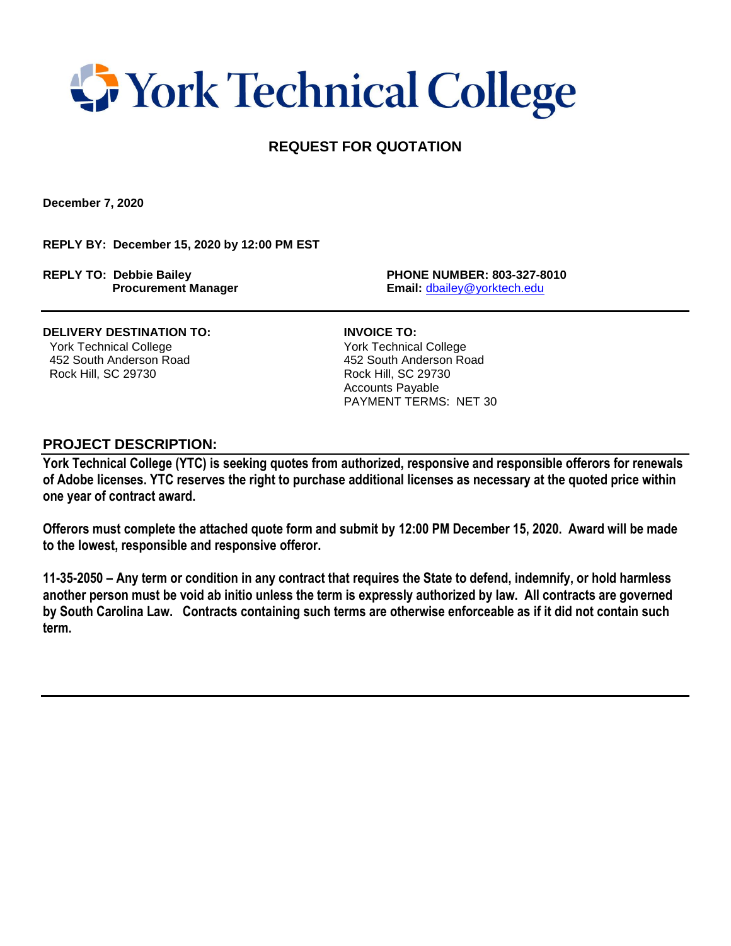## **T** York Technical College

### **REQUEST FOR QUOTATION**

**December 7, 2020**

**REPLY BY: December 15, 2020 by 12:00 PM EST**

**REPLY TO: Debbie Bailey PHONE NUMBER: 803-327-8010**

 **Procurement Manager Email:** [dbailey@yorktech.edu](mailto:dbailey@yorktech.edu)

**DELIVERY DESTINATION TO: INVOICE TO:** York Technical College York Technical College 452 South Anderson Road 452 South Anderson Road Rock Hill, SC 29730 Rock Hill, SC 29730

 Accounts Payable PAYMENT TERMS: NET 30

#### **PROJECT DESCRIPTION:**

**York Technical College (YTC) is seeking quotes from authorized, responsive and responsible offerors for renewals of Adobe licenses. YTC reserves the right to purchase additional licenses as necessary at the quoted price within one year of contract award.** 

**Offerors must complete the attached quote form and submit by 12:00 PM December 15, 2020. Award will be made to the lowest, responsible and responsive offeror.** 

**11-35-2050 – Any term or condition in any contract that requires the State to defend, indemnify, or hold harmless another person must be void ab initio unless the term is expressly authorized by law. All contracts are governed by South Carolina Law. Contracts containing such terms are otherwise enforceable as if it did not contain such term.**